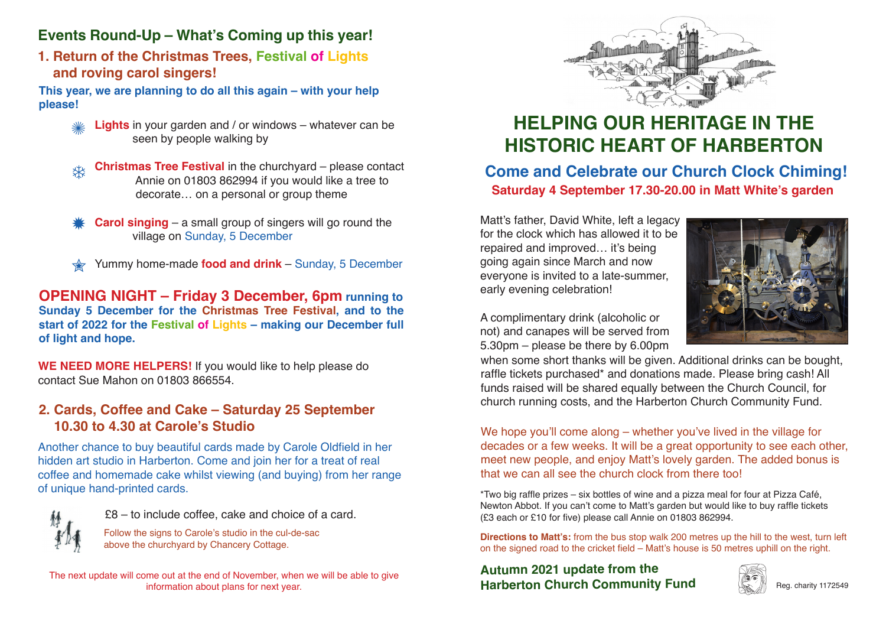# **Events Round-Up – What's Coming up this year!**

**1. Return of the Christmas Trees, Festival of Lights and roving carol singers!**

**This year, we are planning to do all this again – with your help please!** 

- **Lights** in your garden and / or windows whatever can be seen by people walking by **XXX**
- **Christmas Tree Festival** in the churchyard please contact Annie on 01803 862994 if you would like a tree to decorate… on a personal or group theme **茶**
- **Carol singing** a small group of singers will go round the village on Sunday, 5 December \*
- Yummy home-made **food and drink** Sunday, 5 December **M**

**OPENING NIGHT – Friday 3 December, 6pm running to Sunday 5 December for the Christmas Tree Festival, and to the start of 2022 for the Festival of Lights – making our December full of light and hope.**

**WE NEED MORE HELPERS!** If you would like to help please do contact Sue Mahon on 01803 866554.

## **2. Cards, Coffee and Cake – Saturday 25 September 10.30 to 4.30 at Carole's Studio**

Another chance to buy beautiful cards made by Carole Oldfield in her hidden art studio in Harberton. Come and join her for a treat of real coffee and homemade cake whilst viewing (and buying) from her range of unique hand-printed cards.



£8 – to include coffee, cake and choice of a card.

Follow the signs to Carole's studio in the cul-de-sac above the churchyard by Chancery Cottage.

The next update will come out at the end of November, when we will be able to give information about plans for next year.



# **HELPING OUR HERITAGE IN THE HISTORIC HEART OF HARBERTON**

# **Come and Celebrate our Church Clock Chiming! Saturday 4 September 17.30-20.00 in Matt White's garden**

Matt's father, David White, left a legacy for the clock which has allowed it to be repaired and improved… it's being going again since March and now everyone is invited to a late-summer, early evening celebration!



A complimentary drink (alcoholic or not) and canapes will be served from 5.30pm – please be there by 6.00pm

when some short thanks will be given. Additional drinks can be bought, raffle tickets purchased\* and donations made. Please bring cash! All funds raised will be shared equally between the Church Council, for church running costs, and the Harberton Church Community Fund.

We hope you'll come along – whether you've lived in the village for decades or a few weeks. It will be a great opportunity to see each other, meet new people, and enjoy Matt's lovely garden. The added bonus is that we can all see the church clock from there too!

\*Two big raffle prizes – six bottles of wine and a pizza meal for four at Pizza Café, Newton Abbot. If you can't come to Matt's garden but would like to buy raffle tickets (£3 each or £10 for five) please call Annie on 01803 862994.

**Directions to Matt's:** from the bus stop walk 200 metres up the hill to the west, turn left on the signed road to the cricket field – Matt's house is 50 metres uphill on the right.

**Autumn 2021 update from the Harberton Church Community Fund**